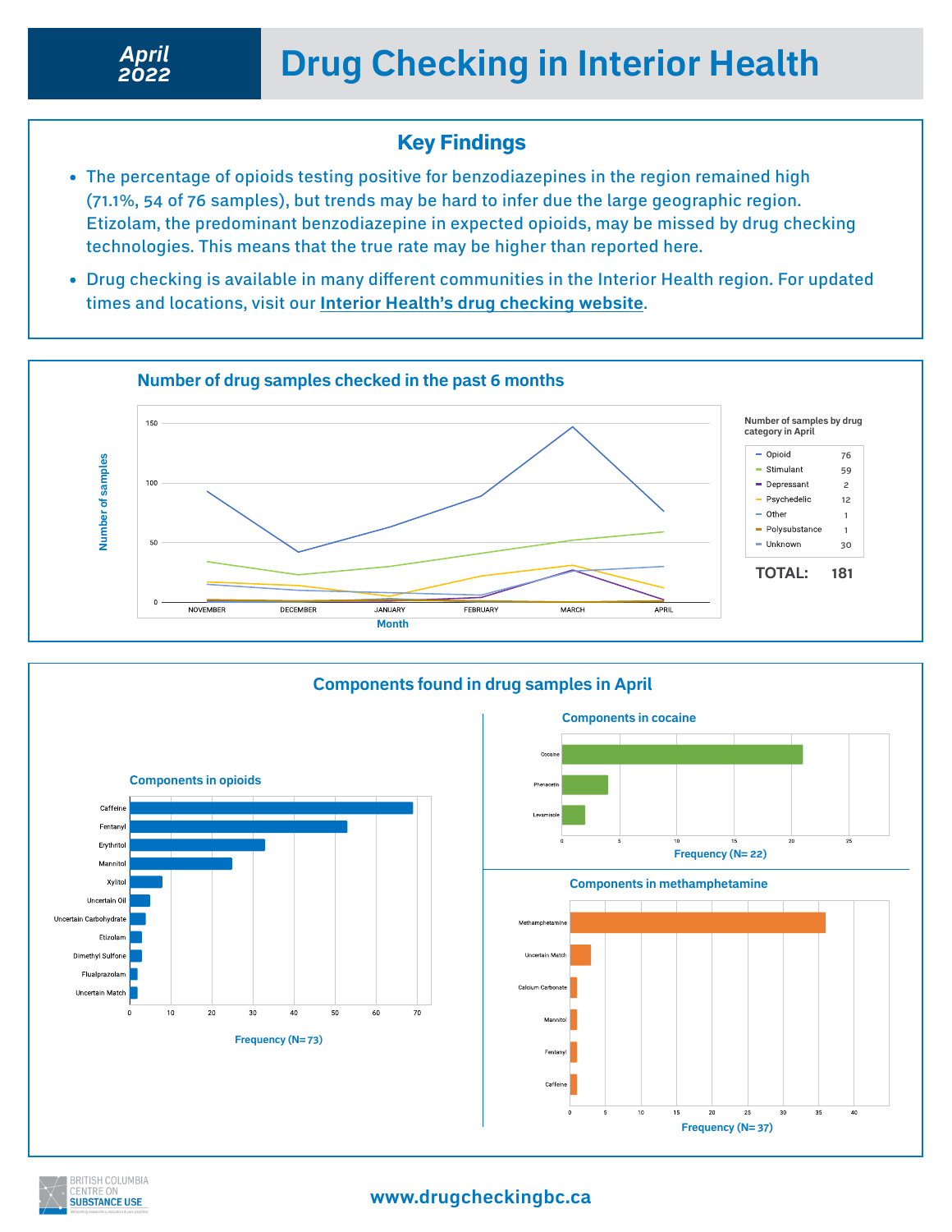### Key Findings

- The percentage of opioids testing positive for benzodiazepines in the region remained high (71.1%, 54 of 76 samples), but trends may be hard to infer due the large geographic region. Etizolam, the predominant benzodiazepine in expected opioids, may be missed by drug checking technologies. This means that the true rate may be higher than reported here.
- Drug checking is available in many different communities in the Interior Health region. For updated times and locations, visit our **[Interior Health's drug checking website](https://drugcheckingbc.ca/drug-checking-sites/interior-health/)**.





### **www.drugcheckingbc.ca**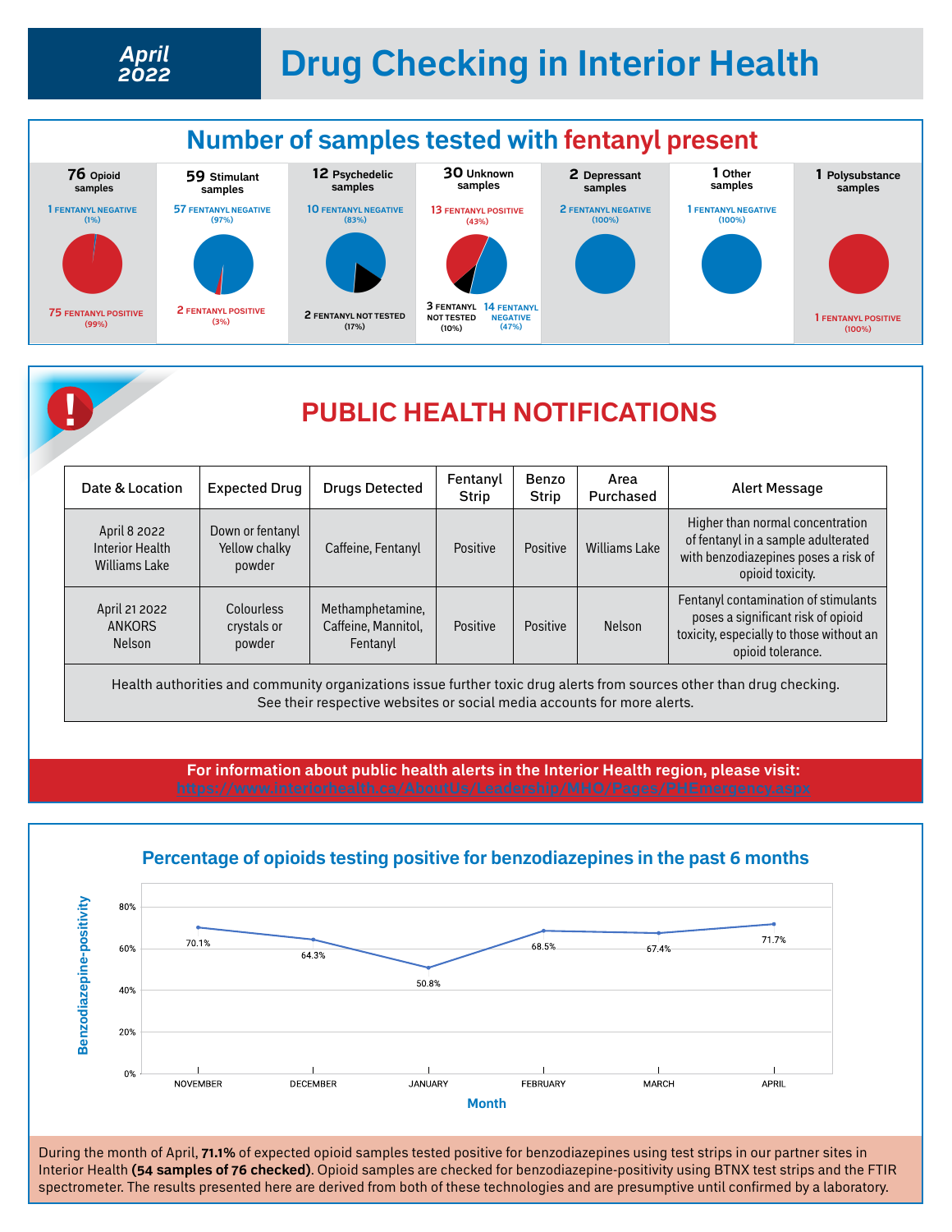



## **! PUBLIC HEALTH NOTIFICATIONS**

| Date & Location                                         | <b>Expected Drug</b>                        | <b>Drugs Detected</b>                               | Fentanyl<br><b>Strip</b> | Benzo<br><b>Strip</b> | Area<br>Purchased    | Alert Message                                                                                                                               |
|---------------------------------------------------------|---------------------------------------------|-----------------------------------------------------|--------------------------|-----------------------|----------------------|---------------------------------------------------------------------------------------------------------------------------------------------|
| April 8 2022<br>Interior Health<br><b>Williams Lake</b> | Down or fentanyl<br>Yellow chalky<br>powder | Caffeine, Fentanyl                                  | Positive                 | Positive              | <b>Williams Lake</b> | Higher than normal concentration<br>of fentanyl in a sample adulterated<br>with benzodiazepines poses a risk of<br>opioid toxicity.         |
| April 21 2022<br><b>ANKORS</b><br>Nelson                | Colourless<br>crystals or<br>powder         | Methamphetamine,<br>Caffeine, Mannitol,<br>Fentanyl | Positive                 | Positive              | <b>Nelson</b>        | Fentanyl contamination of stimulants<br>poses a significant risk of opioid<br>toxicity, especially to those without an<br>opioid tolerance. |

Health authorities and community organizations issue further toxic drug alerts from sources other than drug checking. See their respective websites or social media accounts for more alerts.

**For information about public health alerts in the Interior Health region, please visit:** 



#### **Percentage of opioids testing positive for benzodiazepines in the past 6 months**

During the month of April, **71.1%** of expected opioid samples tested positive for benzodiazepines using test strips in our partner sites in Interior Health **(54 samples of 76 checked)**. Opioid samples are checked for benzodiazepine-positivity using BTNX test strips and the FTIR spectrometer. The results presented here are derived from both of these technologies and are presumptive until confirmed by a laboratory.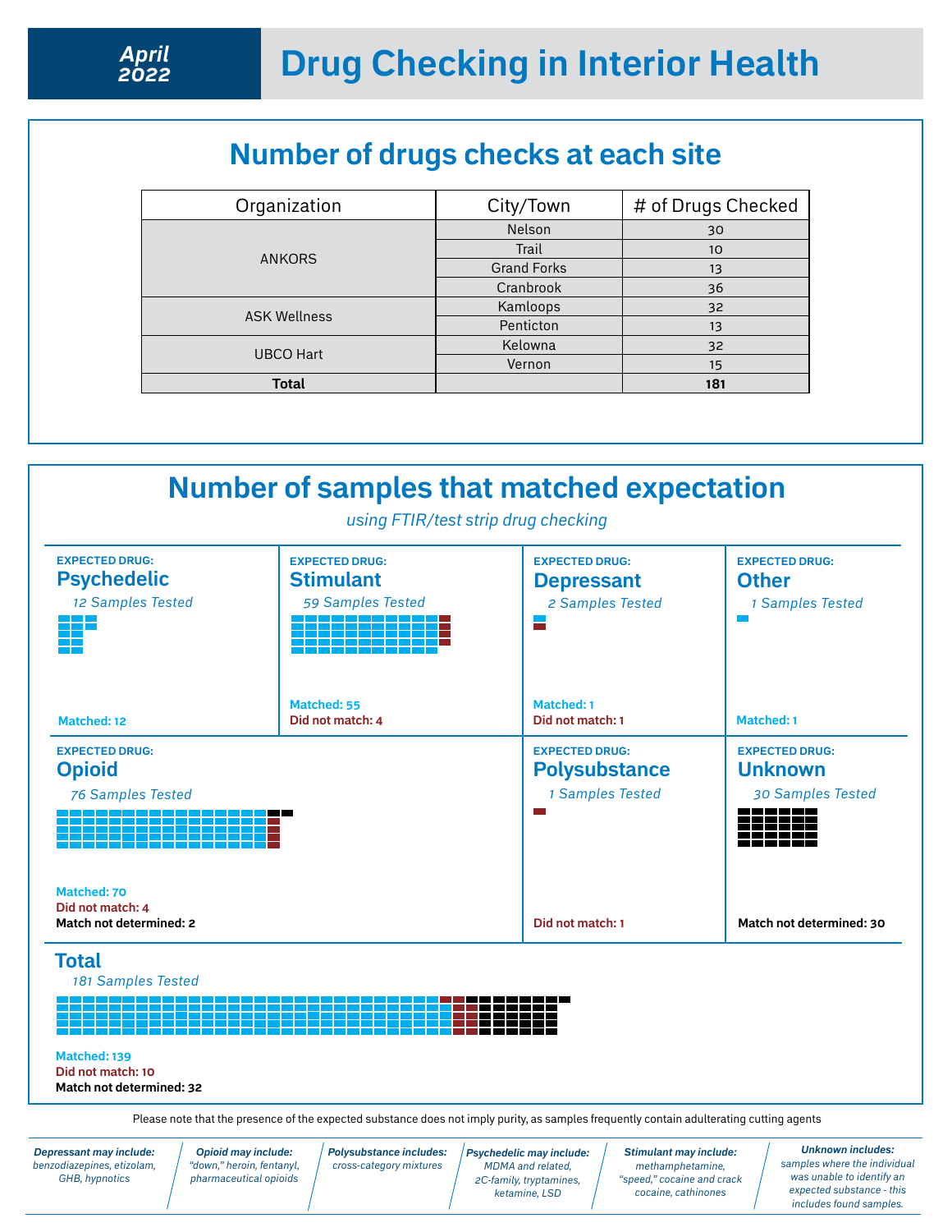# **Number of drugs checks at each site**

| City/Town          | # of Drugs Checked |
|--------------------|--------------------|
| <b>Nelson</b>      | 30                 |
| Trail              | 10                 |
| <b>Grand Forks</b> | 13                 |
| Cranbrook          | 36                 |
| Kamloops           | 32                 |
| Penticton          | 13                 |
| Kelowna            | 32                 |
| Vernon             | 15                 |
|                    | 181                |
|                    |                    |



*benzodiazepines, etizolam, GHB, hypnotics*

*Opioid may include: "down," heroin, fentanyl, pharmaceutical opioids* *Polysubstance includes: cross-category mixtures*

*Psychedelic may include: MDMA and related, 2C-family, tryptamines, ketamine, LSD* 

*methamphetamine, "speed," cocaine and crack cocaine, cathinones*

*samples where the individual was unable to identify an expected substance - this includes found samples.*